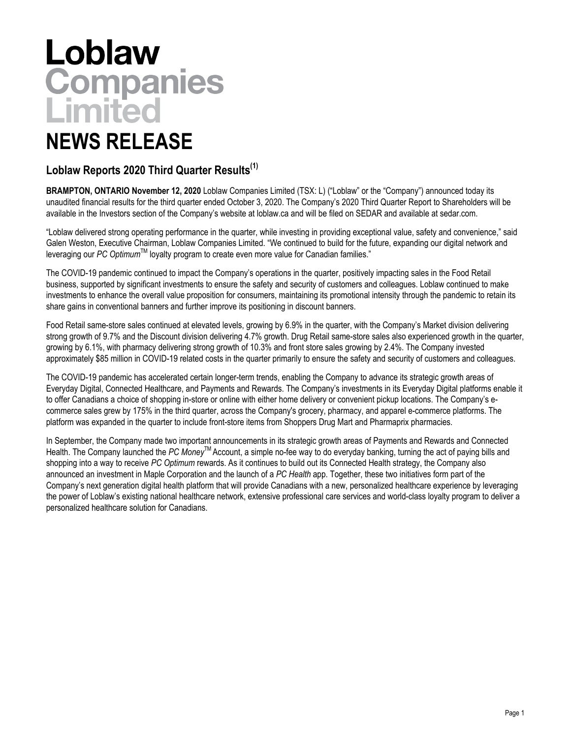# Loblaw<br>Companies<br>Limited

## **NEWS RELEASE**

### **Loblaw Reports 2020 Third Quarter Results(1)**

**BRAMPTON, ONTARIO November 12, 2020** Loblaw Companies Limited (TSX: L) ("Loblaw" or the "Company") announced today its unaudited financial results for the third quarter ended October 3, 2020. The Company's 2020 Third Quarter Report to Shareholders will be available in the Investors section of the Company's website at loblaw.ca and will be filed on SEDAR and available at sedar.com.

"Loblaw delivered strong operating performance in the quarter, while investing in providing exceptional value, safety and convenience," said Galen Weston, Executive Chairman, Loblaw Companies Limited. "We continued to build for the future, expanding our digital network and leveraging our *PC Optimum*TM loyalty program to create even more value for Canadian families."

The COVID-19 pandemic continued to impact the Company's operations in the quarter, positively impacting sales in the Food Retail business, supported by significant investments to ensure the safety and security of customers and colleagues. Loblaw continued to make investments to enhance the overall value proposition for consumers, maintaining its promotional intensity through the pandemic to retain its share gains in conventional banners and further improve its positioning in discount banners.

Food Retail same-store sales continued at elevated levels, growing by 6.9% in the quarter, with the Company's Market division delivering strong growth of 9.7% and the Discount division delivering 4.7% growth. Drug Retail same-store sales also experienced growth in the quarter, growing by 6.1%, with pharmacy delivering strong growth of 10.3% and front store sales growing by 2.4%. The Company invested approximately \$85 million in COVID-19 related costs in the quarter primarily to ensure the safety and security of customers and colleagues.

The COVID-19 pandemic has accelerated certain longer-term trends, enabling the Company to advance its strategic growth areas of Everyday Digital, Connected Healthcare, and Payments and Rewards. The Company's investments in its Everyday Digital platforms enable it to offer Canadians a choice of shopping in-store or online with either home delivery or convenient pickup locations. The Company's ecommerce sales grew by 175% in the third quarter, across the Company's grocery, pharmacy, and apparel e-commerce platforms. The platform was expanded in the quarter to include front-store items from Shoppers Drug Mart and Pharmaprix pharmacies.

In September, the Company made two important announcements in its strategic growth areas of Payments and Rewards and Connected Health. The Company launched the *PC Money*TM Account, a simple no-fee way to do everyday banking, turning the act of paying bills and shopping into a way to receive *PC Optimum* rewards. As it continues to build out its Connected Health strategy, the Company also announced an investment in Maple Corporation and the launch of a *PC Health* app. Together, these two initiatives form part of the Company's next generation digital health platform that will provide Canadians with a new, personalized healthcare experience by leveraging the power of Loblaw's existing national healthcare network, extensive professional care services and world-class loyalty program to deliver a personalized healthcare solution for Canadians.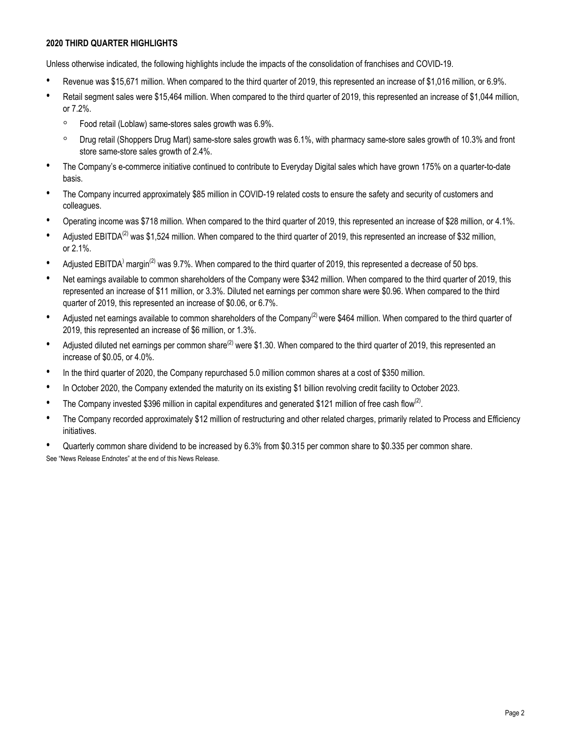#### **2020 THIRD QUARTER HIGHLIGHTS**

Unless otherwise indicated, the following highlights include the impacts of the consolidation of franchises and COVID-19.

- Revenue was \$15,671 million. When compared to the third quarter of 2019, this represented an increase of \$1,016 million, or 6.9%.
- Retail segment sales were \$15,464 million. When compared to the third quarter of 2019, this represented an increase of \$1,044 million, or 7.2%.
	- Food retail (Loblaw) same-stores sales growth was 6.9%.
	- Drug retail (Shoppers Drug Mart) same-store sales growth was 6.1%, with pharmacy same-store sales growth of 10.3% and front store same-store sales growth of 2.4%.
- The Company's e-commerce initiative continued to contribute to Everyday Digital sales which have grown 175% on a quarter-to-date basis.
- The Company incurred approximately \$85 million in COVID-19 related costs to ensure the safety and security of customers and colleagues.
- Operating income was \$718 million. When compared to the third quarter of 2019, this represented an increase of \$28 million, or 4.1%.
- Adiusted EBITDA<sup>(2)</sup> was \$1,524 million. When compared to the third quarter of 2019, this represented an increase of \$32 million, or 2.1%.
- Adjusted EBITDA<sup>)</sup> margin<sup>(2)</sup> was 9.7%. When compared to the third quarter of 2019, this represented a decrease of 50 bps.
- Net earnings available to common shareholders of the Company were \$342 million. When compared to the third quarter of 2019, this represented an increase of \$11 million, or 3.3%. Diluted net earnings per common share were \$0.96. When compared to the third quarter of 2019, this represented an increase of \$0.06, or 6.7%.
- Adjusted net earnings available to common shareholders of the Company<sup>(2)</sup> were \$464 million. When compared to the third quarter of 2019, this represented an increase of \$6 million, or 1.3%.
- Adjusted diluted net earnings per common share<sup>(2)</sup> were \$1.30. When compared to the third quarter of 2019, this represented an increase of \$0.05, or 4.0%.
- In the third quarter of 2020, the Company repurchased 5.0 million common shares at a cost of \$350 million.
- In October 2020, the Company extended the maturity on its existing \$1 billion revolving credit facility to October 2023.
- The Company invested \$396 million in capital expenditures and generated \$121 million of free cash flow<sup>(2)</sup>.
- The Company recorded approximately \$12 million of restructuring and other related charges, primarily related to Process and Efficiency initiatives.
- Quarterly common share dividend to be increased by 6.3% from \$0.315 per common share to \$0.335 per common share.

See "News Release Endnotes" at the end of this News Release.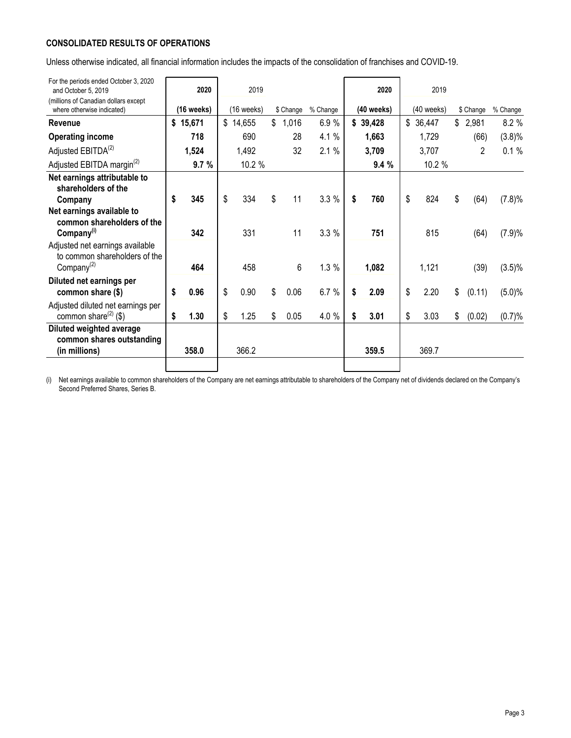#### **CONSOLIDATED RESULTS OF OPERATIONS**

Unless otherwise indicated, all financial information includes the impacts of the consolidation of franchises and COVID-19.

| For the periods ended October 3, 2020<br>and October 5, 2019          | 2020         | 2019       |             |          | 2020       | 2019       |                |           |
|-----------------------------------------------------------------------|--------------|------------|-------------|----------|------------|------------|----------------|-----------|
| (millions of Canadian dollars except<br>where otherwise indicated)    | $(16$ weeks) | (16 weeks) | \$ Change   | % Change | (40 weeks) | (40 weeks) | \$ Change      | % Change  |
| <b>Revenue</b>                                                        | \$15,671     | \$14,655   | \$<br>1,016 | 6.9%     | \$39,428   | \$36,447   | \$2,981        | 8.2 %     |
| <b>Operating income</b>                                               | 718          | 690        | 28          | 4.1 %    | 1,663      | 1,729      | (66)           | $(3.8)\%$ |
| Adjusted EBITDA <sup>(2)</sup>                                        | 1,524        | 1,492      | 32          | 2.1%     | 3,709      | 3,707      | $\overline{2}$ | 0.1%      |
| Adjusted EBITDA margin <sup>(2)</sup>                                 | 9.7%         | 10.2 %     |             |          | 9.4%       | 10.2 %     |                |           |
| Net earnings attributable to<br>shareholders of the                   |              |            |             |          |            |            |                |           |
| Company                                                               | \$<br>345    | \$<br>334  | \$<br>11    | 3.3%     | \$<br>760  | \$<br>824  | \$<br>(64)     | (7.8)%    |
| Net earnings available to<br>common shareholders of the               |              |            |             |          |            |            |                |           |
| Company <sup>(i)</sup><br>Adjusted net earnings available             | 342          | 331        | 11          | 3.3%     | 751        | 815        | (64)           | (7.9)%    |
| to common shareholders of the                                         |              |            |             |          |            |            |                |           |
| Company <sup>(2)</sup>                                                | 464          | 458        | 6           | 1.3%     | 1,082      | 1,121      | (39)           | $(3.5)\%$ |
| Diluted net earnings per<br>common share (\$)                         | \$<br>0.96   | \$<br>0.90 | \$<br>0.06  | 6.7 %    | \$<br>2.09 | \$<br>2.20 | \$<br>(0.11)   | (5.0)%    |
| Adjusted diluted net earnings per<br>common share <sup>(2)</sup> (\$) | \$<br>1.30   | \$<br>1.25 | \$<br>0.05  | 4.0 %    | \$<br>3.01 | \$<br>3.03 | \$<br>(0.02)   | (0.7)%    |
| Diluted weighted average                                              |              |            |             |          |            |            |                |           |
| common shares outstanding<br>(in millions)                            | 358.0        | 366.2      |             |          | 359.5      | 369.7      |                |           |
|                                                                       |              |            |             |          |            |            |                |           |

(i) Net earnings available to common shareholders of the Company are net earnings attributable to shareholders of the Company net of dividends declared on the Company's Second Preferred Shares, Series B.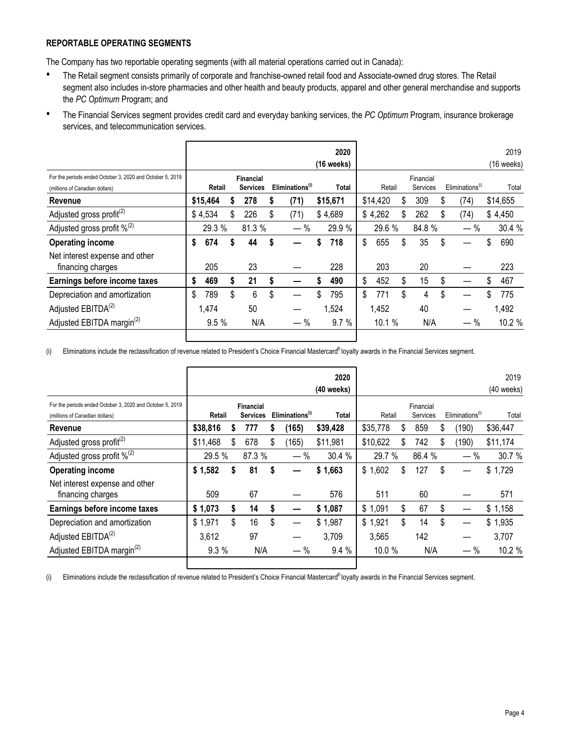#### **REPORTABLE OPERATING SEGMENTS**

The Company has two reportable operating segments (with all material operations carried out in Canada):

- The Retail segment consists primarily of corporate and franchise-owned retail food and Associate-owned drug stores. The Retail segment also includes in-store pharmacies and other health and beauty products, apparel and other general merchandise and supports the *PC Optimum* Program; and
- The Financial Services segment provides credit card and everyday banking services, the *PC Optimum* Program, insurance brokerage services, and telecommunication services.

|                                                           |        |          |    |                  |    |                             |    | 2020       |    |          |    |           |    |                             |    | 2019         |  |
|-----------------------------------------------------------|--------|----------|----|------------------|----|-----------------------------|----|------------|----|----------|----|-----------|----|-----------------------------|----|--------------|--|
|                                                           |        |          |    |                  |    |                             |    | (16 weeks) |    |          |    |           |    |                             |    | $(16$ weeks) |  |
| For the periods ended October 3, 2020 and October 5, 2019 |        |          |    | <b>Financial</b> |    |                             |    |            |    |          |    | Financial |    |                             |    |              |  |
| (millions of Canadian dollars)                            | Retail |          |    | <b>Services</b>  |    | Eliminations <sup>(1)</sup> |    | Total      |    | Retail   |    | Services  |    | Eliminations <sup>(1)</sup> |    | Total        |  |
| Revenue                                                   |        | \$15,464 |    | 278              |    | (71)                        |    | \$15,671   |    | \$14,420 | \$ | 309       | \$ | (74)                        |    | \$14,655     |  |
| Adjusted gross profit <sup>(2)</sup>                      |        | \$4,534  | \$ | 226              | \$ | (71)                        |    | \$4,689    |    | \$4,262  | \$ | 262       | \$ | (74)                        |    | \$4,450      |  |
| Adjusted gross profit $\%^{(2)}$                          |        | 29.3 %   |    | 81.3 %           |    | $\%$                        |    | 29.9 %     |    | 29.6 %   |    | 84.8%     |    | $-$ %                       |    | 30.4 %       |  |
| <b>Operating income</b>                                   | \$     | 674      |    | 44               |    |                             |    | 718        | \$ | 655      | \$ | 35        | \$ |                             | \$ | 690          |  |
| Net interest expense and other<br>financing charges       |        | 205      |    | 23               |    |                             |    | 228        |    | 203      |    | 20        |    |                             |    | 223          |  |
| Earnings before income taxes                              | \$     | 469      | S  | 21               | S  |                             |    | 490        | \$ | 452      | S  | 15        | \$ |                             | \$ | 467          |  |
| Depreciation and amortization                             | \$     | 789      | \$ | 6                | \$ |                             | \$ | 795        | \$ | 771      | \$ | 4         | \$ |                             |    | 775          |  |
| Adjusted EBITDA <sup>(2)</sup>                            |        | 1,474    |    | 50               |    |                             |    | 1,524      |    | 1,452    |    | 40        |    |                             |    | 1,492        |  |
| Adjusted EBITDA margin <sup>(2)</sup>                     |        | 9.5%     |    | N/A              |    | — %                         |    | 9.7%       |    | 10.1%    |    | N/A       |    | $-$ %                       |    | 10.2%        |  |
|                                                           |        |          |    |                  |    |                             |    |            |    |          |    |           |    |                             |    |              |  |

(i) Eliminations include the reclassification of revenue related to President's Choice Financial Mastercard<sup>®</sup> loyalty awards in the Financial Services segment.

ı

|                                                           |           |                 |     |                             |       | 2020       |          |          |                             |    |       | 2019         |
|-----------------------------------------------------------|-----------|-----------------|-----|-----------------------------|-------|------------|----------|----------|-----------------------------|----|-------|--------------|
|                                                           |           |                 |     |                             |       | (40 weeks) |          |          |                             |    |       | $(40$ weeks) |
| For the periods ended October 3, 2020 and October 5, 2019 | Financial |                 |     |                             |       |            |          |          | Financial                   |    |       |              |
| (millions of Canadian dollars)                            | Retail    | <b>Services</b> |     | Eliminations <sup>(1)</sup> | Total | Retail     |          | Services | Eliminations <sup>(1)</sup> |    | Total |              |
| Revenue                                                   | \$38,816  |                 | 777 |                             | (165) | \$39,428   | \$35,778 | S        | 859                         | \$ | (190) | \$36,447     |
| Adjusted gross profit <sup>(2)</sup>                      | \$11,468  | \$              | 678 | \$                          | (165) | \$11,981   | \$10,622 | \$       | 742                         | \$ | (190) | \$11,174     |
| Adjusted gross profit $\%^{(2)}$                          | 29.5 %    |                 |     | 87.3 %<br>$-$ %             |       | 30.4 %     | 29.7 %   |          | 86.4 %                      |    | $-$ % | 30.7 %       |
| <b>Operating income</b>                                   | \$1,582   |                 | 81  |                             |       | \$1,663    | \$1,602  | \$       | 127                         | \$ |       | \$1,729      |
| Net interest expense and other                            |           |                 |     |                             |       |            |          |          |                             |    |       |              |
| financing charges                                         | 509       |                 | 67  |                             |       | 576        | 511      |          | 60                          |    |       | 571          |
| Earnings before income taxes                              | \$1,073   |                 | 14  | S                           |       | \$1,087    | \$1,091  | \$       | 67                          | \$ |       | \$1,158      |
| Depreciation and amortization                             | \$1,971   | \$              | 16  | \$                          |       | \$1,987    | \$1,921  | \$       | 14                          | \$ |       | \$1,935      |
| Adjusted EBITDA <sup>(2)</sup>                            | 3,612     |                 | 97  |                             |       | 3,709      | 3,565    |          | 142                         |    |       | 3,707        |
| Adjusted EBITDA margin <sup>(2)</sup>                     | 9.3 %     |                 | N/A |                             | $-$ % | 9.4%       | 10.0 %   |          | N/A                         |    | — %   | 10.2 %       |
|                                                           |           |                 |     |                             |       |            |          |          |                             |    |       |              |

(i) Eliminations include the reclassification of revenue related to President's Choice Financial Mastercard<sup>®</sup> loyalty awards in the Financial Services segment.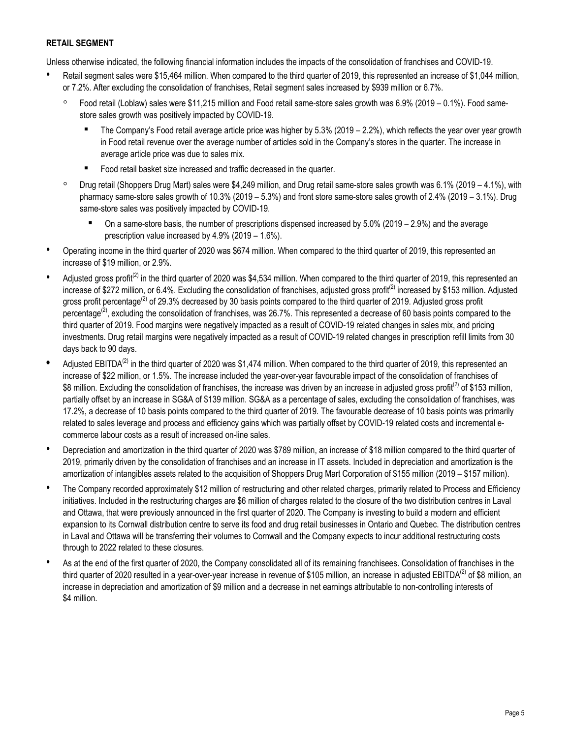#### **RETAIL SEGMENT**

Unless otherwise indicated, the following financial information includes the impacts of the consolidation of franchises and COVID-19.

- Retail segment sales were \$15,464 million. When compared to the third quarter of 2019, this represented an increase of \$1,044 million, or 7.2%. After excluding the consolidation of franchises, Retail segment sales increased by \$939 million or 6.7%.
	- Food retail (Loblaw) sales were \$11,215 million and Food retail same-store sales growth was 6.9% (2019 0.1%). Food samestore sales growth was positively impacted by COVID-19.
		- The Company's Food retail average article price was higher by  $5.3\%$  (2019 2.2%), which reflects the year over year growth in Food retail revenue over the average number of articles sold in the Company's stores in the quarter. The increase in average article price was due to sales mix.
		- Food retail basket size increased and traffic decreased in the quarter.
	- Drug retail (Shoppers Drug Mart) sales were \$4,249 million, and Drug retail same-store sales growth was 6.1% (2019 4.1%), with pharmacy same-store sales growth of 10.3% (2019 – 5.3%) and front store same-store sales growth of 2.4% (2019 – 3.1%). Drug same-store sales was positively impacted by COVID-19.
		- $\blacksquare$  On a same-store basis, the number of prescriptions dispensed increased by 5.0% (2019 2.9%) and the average prescription value increased by 4.9% (2019 – 1.6%).
- Operating income in the third quarter of 2020 was \$674 million. When compared to the third quarter of 2019, this represented an increase of \$19 million, or 2.9%.
- Adjusted gross profit<sup>(2)</sup> in the third quarter of 2020 was \$4,534 million. When compared to the third quarter of 2019, this represented an increase of \$272 million, or 6.4%. Excluding the consolidation of franchises, adjusted gross profit<sup>(2)</sup> increased by \$153 million. Adjusted gross profit percentage<sup>(2)</sup> of 29.3% decreased by 30 basis points compared to the third quarter of 2019. Adjusted gross profit percentage<sup>(2)</sup>, excluding the consolidation of franchises, was 26.7%. This represented a decrease of 60 basis points compared to the third quarter of 2019. Food margins were negatively impacted as a result of COVID-19 related changes in sales mix, and pricing investments. Drug retail margins were negatively impacted as a result of COVID-19 related changes in prescription refill limits from 30 days back to 90 days.
- Adjusted EBITDA<sup>(2)</sup> in the third quarter of 2020 was \$1,474 million. When compared to the third quarter of 2019, this represented an increase of \$22 million, or 1.5%. The increase included the year-over-year favourable impact of the consolidation of franchises of \$8 million. Excluding the consolidation of franchises, the increase was driven by an increase in adjusted gross profit<sup>(2)</sup> of \$153 million, partially offset by an increase in SG&A of \$139 million. SG&A as a percentage of sales, excluding the consolidation of franchises, was 17.2%, a decrease of 10 basis points compared to the third quarter of 2019. The favourable decrease of 10 basis points was primarily related to sales leverage and process and efficiency gains which was partially offset by COVID-19 related costs and incremental ecommerce labour costs as a result of increased on-line sales.
- Depreciation and amortization in the third quarter of 2020 was \$789 million, an increase of \$18 million compared to the third quarter of 2019, primarily driven by the consolidation of franchises and an increase in IT assets. Included in depreciation and amortization is the amortization of intangibles assets related to the acquisition of Shoppers Drug Mart Corporation of \$155 million (2019 – \$157 million).
- The Company recorded approximately \$12 million of restructuring and other related charges, primarily related to Process and Efficiency initiatives. Included in the restructuring charges are \$6 million of charges related to the closure of the two distribution centres in Laval and Ottawa, that were previously announced in the first quarter of 2020. The Company is investing to build a modern and efficient expansion to its Cornwall distribution centre to serve its food and drug retail businesses in Ontario and Quebec. The distribution centres in Laval and Ottawa will be transferring their volumes to Cornwall and the Company expects to incur additional restructuring costs through to 2022 related to these closures.
- As at the end of the first quarter of 2020, the Company consolidated all of its remaining franchisees. Consolidation of franchises in the third quarter of 2020 resulted in a year-over-year increase in revenue of \$105 million, an increase in adjusted EBITDA<sup>(2)</sup> of \$8 million, an increase in depreciation and amortization of \$9 million and a decrease in net earnings attributable to non-controlling interests of \$4 million.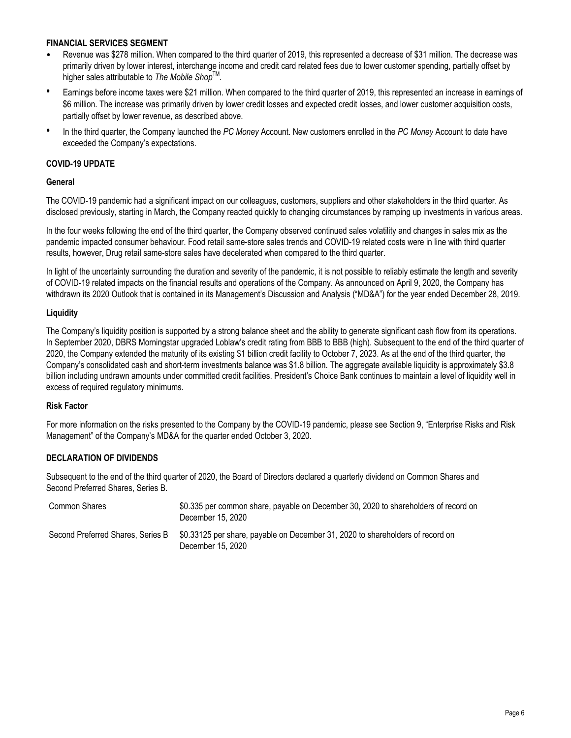#### **FINANCIAL SERVICES SEGMENT**

- Revenue was \$278 million. When compared to the third quarter of 2019, this represented a decrease of \$31 million. The decrease was primarily driven by lower interest, interchange income and credit card related fees due to lower customer spending, partially offset by higher sales attributable to *The Mobile Shop*TM *.*
- Earnings before income taxes were \$21 million. When compared to the third quarter of 2019, this represented an increase in earnings of \$6 million. The increase was primarily driven by lower credit losses and expected credit losses, and lower customer acquisition costs, partially offset by lower revenue, as described above.
- In the third quarter, the Company launched the *PC Money* Account. New customers enrolled in the *PC Money* Account to date have exceeded the Company's expectations.

#### **COVID-19 UPDATE**

#### **General**

The COVID-19 pandemic had a significant impact on our colleagues, customers, suppliers and other stakeholders in the third quarter. As disclosed previously, starting in March, the Company reacted quickly to changing circumstances by ramping up investments in various areas.

In the four weeks following the end of the third quarter, the Company observed continued sales volatility and changes in sales mix as the pandemic impacted consumer behaviour. Food retail same-store sales trends and COVID-19 related costs were in line with third quarter results, however, Drug retail same-store sales have decelerated when compared to the third quarter.

In light of the uncertainty surrounding the duration and severity of the pandemic, it is not possible to reliably estimate the length and severity of COVID-19 related impacts on the financial results and operations of the Company. As announced on April 9, 2020, the Company has withdrawn its 2020 Outlook that is contained in its Management's Discussion and Analysis ("MD&A") for the year ended December 28, 2019.

#### **Liquidity**

The Company's liquidity position is supported by a strong balance sheet and the ability to generate significant cash flow from its operations. In September 2020, DBRS Morningstar upgraded Loblaw's credit rating from BBB to BBB (high). Subsequent to the end of the third quarter of 2020, the Company extended the maturity of its existing \$1 billion credit facility to October 7, 2023. As at the end of the third quarter, the Company's consolidated cash and short-term investments balance was \$1.8 billion. The aggregate available liquidity is approximately \$3.8 billion including undrawn amounts under committed credit facilities. President's Choice Bank continues to maintain a level of liquidity well in excess of required regulatory minimums.

#### **Risk Factor**

For more information on the risks presented to the Company by the COVID-19 pandemic, please see Section 9, "Enterprise Risks and Risk Management" of the Company's MD&A for the quarter ended October 3, 2020.

#### **DECLARATION OF DIVIDENDS**

Subsequent to the end of the third quarter of 2020, the Board of Directors declared a quarterly dividend on Common Shares and Second Preferred Shares, Series B.

| Common Shares                     | \$0.335 per common share, payable on December 30, 2020 to shareholders of record on<br>December 15, 2020 |
|-----------------------------------|----------------------------------------------------------------------------------------------------------|
| Second Preferred Shares, Series B | \$0.33125 per share, payable on December 31, 2020 to shareholders of record on<br>December 15, 2020      |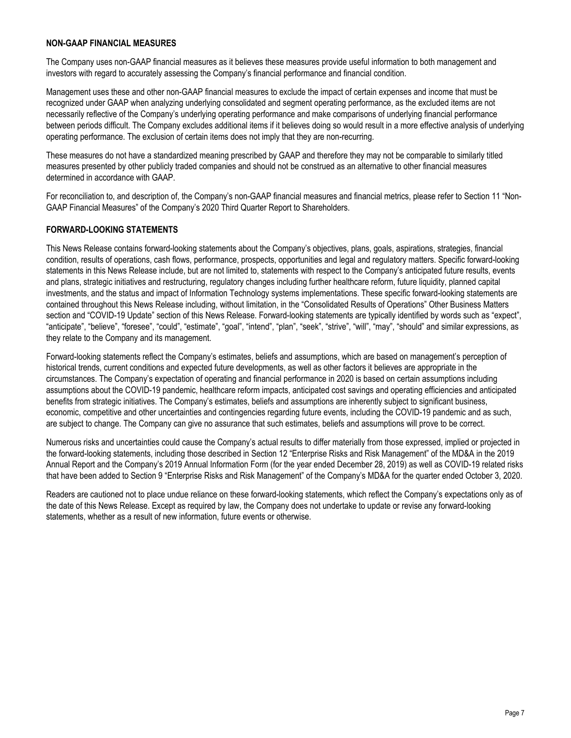#### **NON-GAAP FINANCIAL MEASURES**

The Company uses non-GAAP financial measures as it believes these measures provide useful information to both management and investors with regard to accurately assessing the Company's financial performance and financial condition.

Management uses these and other non-GAAP financial measures to exclude the impact of certain expenses and income that must be recognized under GAAP when analyzing underlying consolidated and segment operating performance, as the excluded items are not necessarily reflective of the Company's underlying operating performance and make comparisons of underlying financial performance between periods difficult. The Company excludes additional items if it believes doing so would result in a more effective analysis of underlying operating performance. The exclusion of certain items does not imply that they are non-recurring.

These measures do not have a standardized meaning prescribed by GAAP and therefore they may not be comparable to similarly titled measures presented by other publicly traded companies and should not be construed as an alternative to other financial measures determined in accordance with GAAP.

For reconciliation to, and description of, the Company's non-GAAP financial measures and financial metrics, please refer to Section 11 "Non-GAAP Financial Measures" of the Company's 2020 Third Quarter Report to Shareholders.

#### **FORWARD-LOOKING STATEMENTS**

This News Release contains forward-looking statements about the Company's objectives, plans, goals, aspirations, strategies, financial condition, results of operations, cash flows, performance, prospects, opportunities and legal and regulatory matters. Specific forward-looking statements in this News Release include, but are not limited to, statements with respect to the Company's anticipated future results, events and plans, strategic initiatives and restructuring, regulatory changes including further healthcare reform, future liquidity, planned capital investments, and the status and impact of Information Technology systems implementations. These specific forward-looking statements are contained throughout this News Release including, without limitation, in the "Consolidated Results of Operations" Other Business Matters section and "COVID-19 Update" section of this News Release. Forward-looking statements are typically identified by words such as "expect", "anticipate", "believe", "foresee", "could", "estimate", "goal", "intend", "plan", "seek", "strive", "will", "may", "should" and similar expressions, as they relate to the Company and its management.

Forward-looking statements reflect the Company's estimates, beliefs and assumptions, which are based on management's perception of historical trends, current conditions and expected future developments, as well as other factors it believes are appropriate in the circumstances. The Company's expectation of operating and financial performance in 2020 is based on certain assumptions including assumptions about the COVID-19 pandemic, healthcare reform impacts, anticipated cost savings and operating efficiencies and anticipated benefits from strategic initiatives. The Company's estimates, beliefs and assumptions are inherently subject to significant business, economic, competitive and other uncertainties and contingencies regarding future events, including the COVID-19 pandemic and as such, are subject to change. The Company can give no assurance that such estimates, beliefs and assumptions will prove to be correct.

Numerous risks and uncertainties could cause the Company's actual results to differ materially from those expressed, implied or projected in the forward-looking statements, including those described in Section 12 "Enterprise Risks and Risk Management" of the MD&A in the 2019 Annual Report and the Company's 2019 Annual Information Form (for the year ended December 28, 2019) as well as COVID-19 related risks that have been added to Section 9 "Enterprise Risks and Risk Management" of the Company's MD&A for the quarter ended October 3, 2020.

Readers are cautioned not to place undue reliance on these forward-looking statements, which reflect the Company's expectations only as of the date of this News Release. Except as required by law, the Company does not undertake to update or revise any forward-looking statements, whether as a result of new information, future events or otherwise.